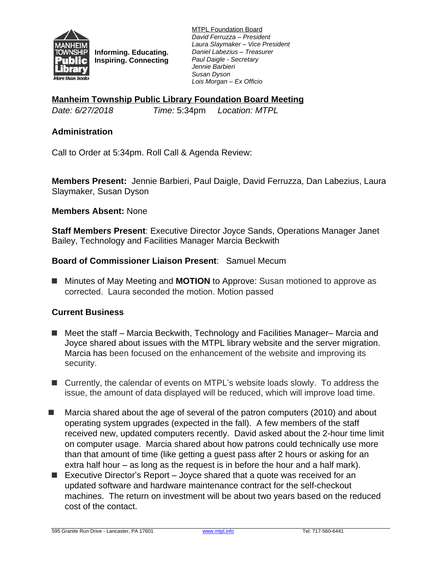

**Informing. Educating. Inspiring. Connecting** MTPL Foundation Board *David Ferruzza – President Laura Slaymaker – Vice President Daniel Labezius – Treasurer Paul Daigle - Secretary Jennie Barbieri Susan Dyson Lois Morgan – Ex Officio*

**Manheim Township Public Library Foundation Board Meeting**

*Date: 6/27/2018 Time:* 5:34pm *Location: MTPL*

### **Administration**

Call to Order at 5:34pm. Roll Call & Agenda Review:

**Members Present:** Jennie Barbieri, Paul Daigle, David Ferruzza, Dan Labezius, Laura Slaymaker, Susan Dyson

#### **Members Absent:** None

**Staff Members Present**: Executive Director Joyce Sands, Operations Manager Janet Bailey, Technology and Facilities Manager Marcia Beckwith

## **Board of Commissioner Liaison Present**: Samuel Mecum

■ Minutes of May Meeting and **MOTION** to Approve: Susan motioned to approve as corrected. Laura seconded the motion. Motion passed

#### **Current Business**

- Meet the staff Marcia Beckwith, Technology and Facilities Manager– Marcia and Joyce shared about issues with the MTPL library website and the server migration. Marcia has been focused on the enhancement of the website and improving its security.
- Currently, the calendar of events on MTPL's website loads slowly. To address the issue, the amount of data displayed will be reduced, which will improve load time.
- Marcia shared about the age of several of the patron computers (2010) and about operating system upgrades (expected in the fall). A few members of the staff received new, updated computers recently. David asked about the 2-hour time limit on computer usage. Marcia shared about how patrons could technically use more than that amount of time (like getting a guest pass after 2 hours or asking for an extra half hour – as long as the request is in before the hour and a half mark).
- Executive Director's Report Joyce shared that a quote was received for an updated software and hardware maintenance contract for the self-checkout machines. The return on investment will be about two years based on the reduced cost of the contact.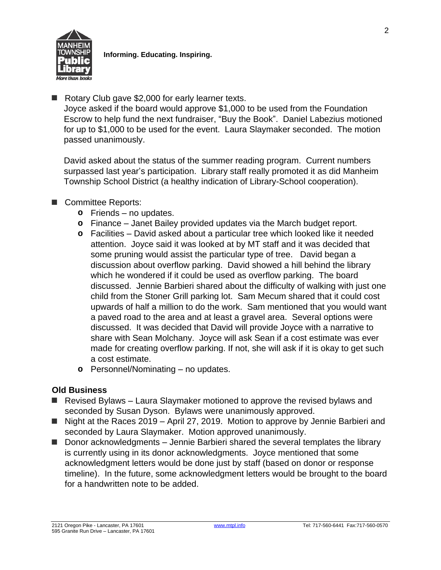

■ Rotary Club gave \$2,000 for early learner texts.

Joyce asked if the board would approve \$1,000 to be used from the Foundation Escrow to help fund the next fundraiser, "Buy the Book". Daniel Labezius motioned for up to \$1,000 to be used for the event. Laura Slaymaker seconded. The motion passed unanimously.

David asked about the status of the summer reading program. Current numbers surpassed last year's participation. Library staff really promoted it as did Manheim Township School District (a healthy indication of Library-School cooperation).

# ■ Committee Reports:

- **o** Friends no updates.
- **o** Finance Janet Bailey provided updates via the March budget report.
- **o** Facilities David asked about a particular tree which looked like it needed attention. Joyce said it was looked at by MT staff and it was decided that some pruning would assist the particular type of tree. David began a discussion about overflow parking. David showed a hill behind the library which he wondered if it could be used as overflow parking. The board discussed. Jennie Barbieri shared about the difficulty of walking with just one child from the Stoner Grill parking lot. Sam Mecum shared that it could cost upwards of half a million to do the work. Sam mentioned that you would want a paved road to the area and at least a gravel area. Several options were discussed. It was decided that David will provide Joyce with a narrative to share with Sean Molchany. Joyce will ask Sean if a cost estimate was ever made for creating overflow parking. If not, she will ask if it is okay to get such a cost estimate.
- **o** Personnel/Nominating no updates.

#### **Old Business**

- Revised Bylaws Laura Slaymaker motioned to approve the revised bylaws and seconded by Susan Dyson. Bylaws were unanimously approved.
- Night at the Races 2019 April 27, 2019. Motion to approve by Jennie Barbieri and seconded by Laura Slaymaker. Motion approved unanimously.
- Donor acknowledgments Jennie Barbieri shared the several templates the library is currently using in its donor acknowledgments. Joyce mentioned that some acknowledgment letters would be done just by staff (based on donor or response timeline). In the future, some acknowledgment letters would be brought to the board for a handwritten note to be added.